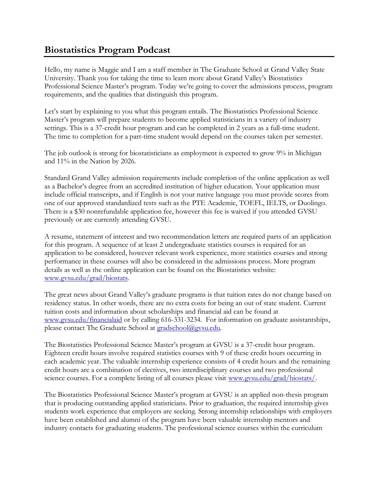## **Biostatistics Program Podcast**

Hello, my name is Maggie and I am a staff member in The Graduate School at Grand Valley State University. Thank you for taking the time to learn more about Grand Valley's Biostatistics Professional Science Master's program. Today we're going to cover the admissions process, program requirements, and the qualities that distinguish this program.

Let's start by explaining to you what this program entails. The Biostatistics Professional Science Master's program will prepare students to become applied statisticians in a variety of industry settings. This is a 37-credit hour program and can be completed in 2 years as a full-time student. The time to completion for a part-time student would depend on the courses taken per semester.

The job outlook is strong for biostatisticians as employment is expected to grow 9% in Michigan and 11% in the Nation by 2026.

Standard Grand Valley admission requirements include completion of the online application as well as a Bachelor's degree from an accredited institution of higher education. Your application must include official transcripts, and if English is not your native language you must provide scores from one of our approved standardized tests such as the PTE Academic, TOEFL, IELTS, or Duolingo. There is a \$30 nonrefundable application fee, however this fee is waived if you attended GVSU previously or are currently attending GVSU.

A resume, statement of interest and two recommendation letters are required parts of an application for this program. A sequence of at least 2 undergraduate statistics courses is required for an application to be considered, however relevant work experience, more statistics courses and strong performance in these courses will also be considered in the admissions process. More program details as well as the online application can be found on the Biostatistics website: [www.gvsu.edu/grad/biostats.](http://www.gvsu.edu/grad/biostats)

The great news about Grand Valley's graduate programs is that tuition rates do not change based on residency status. In other words, there are no extra costs for being an out of state student. Current tuition costs and information about scholarships and financial aid can be found at [www.gvsu.edu/financialaid](http://www.gvsu.edu/financialaid) or by calling 616-331-3234. For information on graduate assistantships, please contact The Graduate School at [gradschool@gvsu.edu.](mailto:gradschool@gvsu.edu)

The Biostatistics Professional Science Master's program at GVSU is a 37-credit hour program. Eighteen credit hours involve required statistics courses with 9 of these credit hours occurring in each academic year. The valuable internship experience consists of 4 credit hours and the remaining credit hours are a combination of electives, two interdisciplinary courses and two professional science courses. For a complete listing of all courses please visit [www.gvsu.edu/grad/biostats/.](http://www.gvsu.edu/grad/biostats/)

The Biostatistics Professional Science Master's program at GVSU is an applied non-thesis program that is producing outstanding applied statisticians. Prior to graduation, the required internship gives students work experience that employers are seeking. Strong internship relationships with employers have been established and alumni of the program have been valuable internship mentors and industry contacts for graduating students. The professional science courses within the curriculum